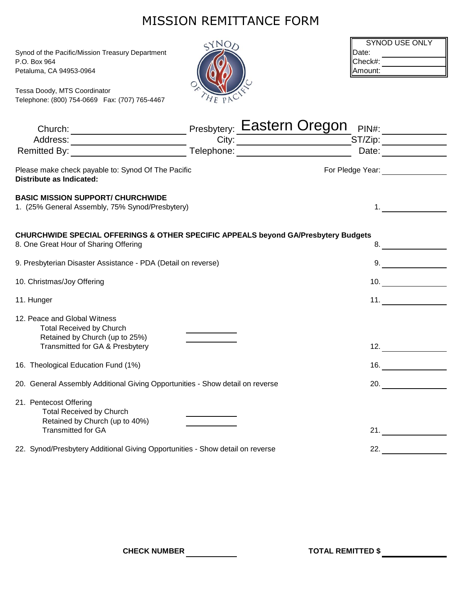| <b>MISSION REMITTANCE FORM</b>                                                                                                                                                         |                                                                                                                                 |  |
|----------------------------------------------------------------------------------------------------------------------------------------------------------------------------------------|---------------------------------------------------------------------------------------------------------------------------------|--|
| SYNON<br>Synod of the Pacific/Mission Treasury Department<br>P.O. Box 964<br>Petaluma, CA 94953-0964<br>Tessa Doody, MTS Coordinator<br>Telephone: (800) 754-0669  Fax: (707) 765-4467 | SYNOD USE ONLY<br>Date:<br>Check#:<br>Amount:                                                                                   |  |
| Address: <u>William Address:</u><br>Remitted By: <b>Example 20</b><br>Please make check payable to: Synod Of The Pacific<br><b>Distribute as Indicated:</b>                            | Presbytery: <b>Eastern Oregon</b> PIN#:<br>City: City: ST/Zip: ST/Zip: Telephone: Telephone: Date:<br>Date:<br>For Pledge Year: |  |
| <b>BASIC MISSION SUPPORT/ CHURCHWIDE</b><br>1. (25% General Assembly, 75% Synod/Presbytery)                                                                                            |                                                                                                                                 |  |
| <b>CHURCHWIDE SPECIAL OFFERINGS &amp; OTHER SPECIFIC APPEALS beyond GA/Presbytery Budgets</b><br>8. One Great Hour of Sharing Offering                                                 | 8.                                                                                                                              |  |
| 9. Presbyterian Disaster Assistance - PDA (Detail on reverse)                                                                                                                          |                                                                                                                                 |  |
| 10. Christmas/Joy Offering                                                                                                                                                             | 10.                                                                                                                             |  |
| 11. Hunger                                                                                                                                                                             | 11.                                                                                                                             |  |
| 12. Peace and Global Witness<br><b>Total Received by Church</b><br>Retained by Church (up to 25%)<br>Transmitted for GA & Presbytery                                                   | 12.                                                                                                                             |  |
| 16. Theological Education Fund (1%)                                                                                                                                                    | 16. $\qquad \qquad \qquad$                                                                                                      |  |
| 20. General Assembly Additional Giving Opportunities - Show detail on reverse                                                                                                          | 20.                                                                                                                             |  |
| 21. Pentecost Offering<br><b>Total Received by Church</b><br>Retained by Church (up to 40%)<br><b>Transmitted for GA</b>                                                               | 21.                                                                                                                             |  |
| 22. Synod/Presbytery Additional Giving Opportunities - Show detail on reverse                                                                                                          | 22.                                                                                                                             |  |